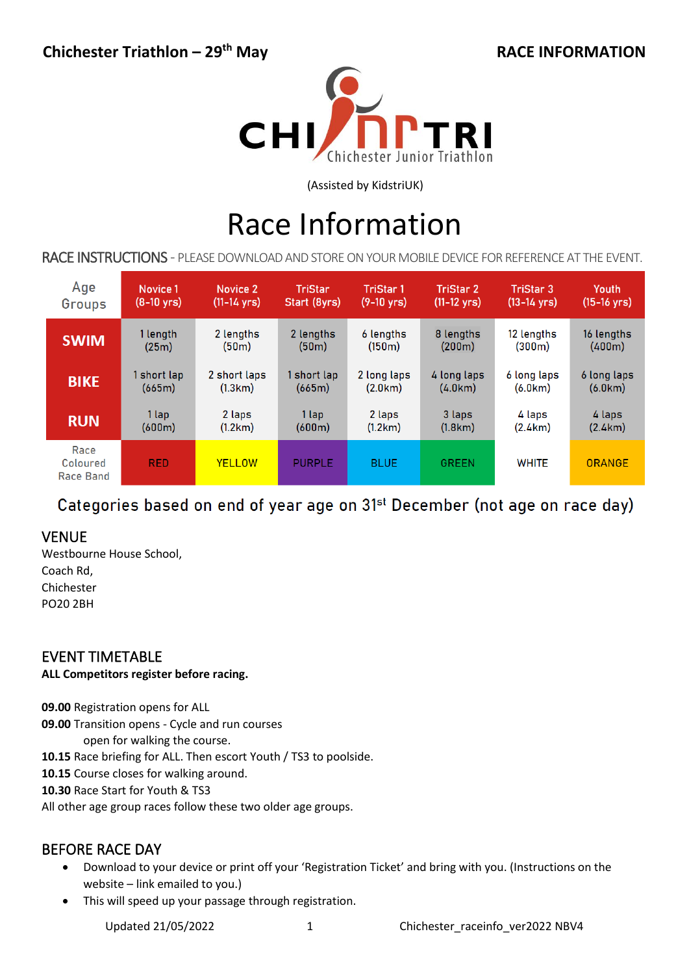

(Assisted by KidstriUK)

# Race Information

RACE INSTRUCTIONS - PLEASE DOWNLOAD AND STORE ON YOUR MOBILE DEVICE FOR REFERENCE AT THE EVENT.

| Age                           | Novice 1             | Novice 2              | <b>TriStar</b>     | <b>TriStar1</b>      | <b>TriStar 2</b>      | <b>TriStar 3</b>      | Youth                 |
|-------------------------------|----------------------|-----------------------|--------------------|----------------------|-----------------------|-----------------------|-----------------------|
| Groups                        | $(8-10 \text{ yrs})$ | $(11-14 \text{ yrs})$ | Start (8yrs)       | $(9-10 \text{ yrs})$ | $(11-12 \text{ yrs})$ | $(13-14 \text{ yrs})$ | $(15-16 \text{ yrs})$ |
| <b>SWIM</b>                   | 1 length             | 2 lengths             | 2 lengths          | 6 lengths            | 8 lengths             | 12 lengths            | 16 lengths            |
|                               | (25m)                | (50m)                 | (50 <sub>m</sub> ) | (150 <sub>m</sub> )  | (200m)                | (300m)                | (400m)                |
| <b>BIKE</b>                   | 1 short lap          | 2 short laps          | 1 short lap        | 2 long laps          | 4 long laps           | 6 long laps           | 6 long laps           |
|                               | (665m)               | (1.3km)               | (665m)             | (2.0km)              | (4.0km)               | (6.0km)               | (6.0km)               |
| <b>RUN</b>                    | 1 lap                | 2 laps                | 1 lap              | 2 laps               | 3 laps                | 4 laps                | 4 laps                |
|                               | (600m)               | (1.2km)               | (600m)             | (1.2km)              | (1.8km)               | (2.4km)               | (2.4km)               |
| Race<br>Coloured<br>Race Band | <b>RED</b>           | <b>YELLOW</b>         | <b>PURPLE</b>      | <b>BLUE</b>          | <b>GREEN</b>          | <b>WHITE</b>          | <b>ORANGE</b>         |

# Categories based on end of year age on 31<sup>st</sup> December (not age on race day)

# VENUE

Westbourne House School, Coach Rd, Chichester PO20 2BH

# EVENT TIMETABLE

#### **ALL Competitors register before racing.**

**09.00** Registration opens for ALL

**09.00** Transition opens - Cycle and run courses

open for walking the course.

**10.15** Race briefing for ALL. Then escort Youth / TS3 to poolside.

**10.15** Course closes for walking around.

**10.30** Race Start for Youth & TS3

All other age group races follow these two older age groups.

# BEFORE RACE DAY

- Download to your device or print off your 'Registration Ticket' and bring with you. (Instructions on the website – link emailed to you.)
- This will speed up your passage through registration.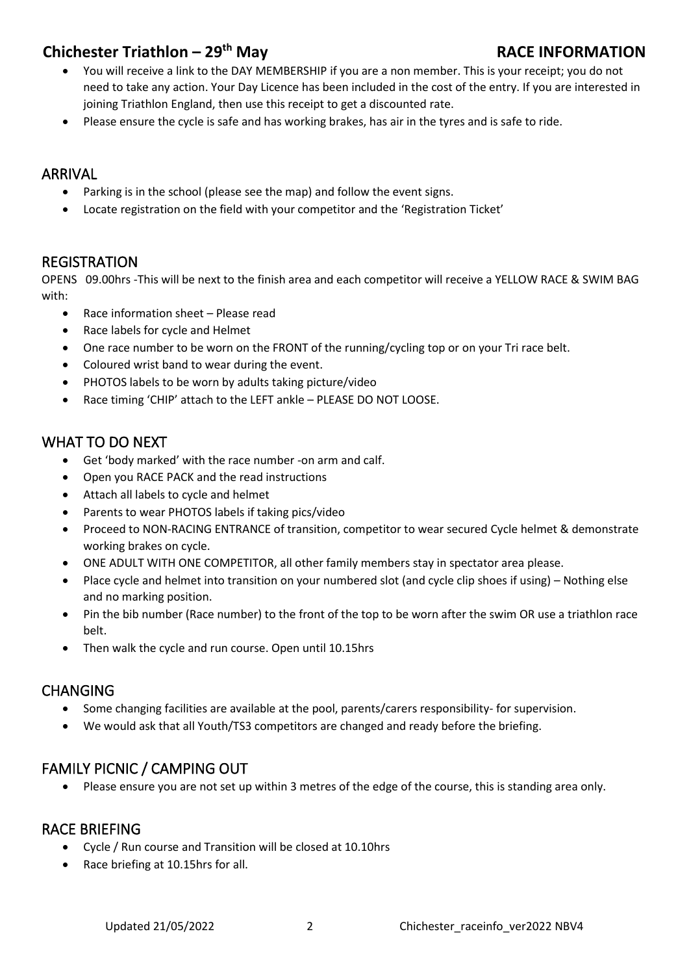# **Chichester Triathlon – 29th May RACE INFORMATION**

- You will receive a link to the DAY MEMBERSHIP if you are a non member. This is your receipt; you do not need to take any action. Your Day Licence has been included in the cost of the entry. If you are interested in joining Triathlon England, then use this receipt to get a discounted rate.
- Please ensure the cycle is safe and has working brakes, has air in the tyres and is safe to ride.

# ARRIVAL

- Parking is in the school (please see the map) and follow the event signs.
- Locate registration on the field with your competitor and the 'Registration Ticket'

# REGISTRATION

OPENS 09.00hrs -This will be next to the finish area and each competitor will receive a YELLOW RACE & SWIM BAG with:

- Race information sheet Please read
- Race labels for cycle and Helmet
- One race number to be worn on the FRONT of the running/cycling top or on your Tri race belt.
- Coloured wrist band to wear during the event.
- PHOTOS labels to be worn by adults taking picture/video
- Race timing 'CHIP' attach to the LEFT ankle PLEASE DO NOT LOOSE.

# WHAT TO DO NEXT

- Get 'body marked' with the race number -on arm and calf.
- Open you RACE PACK and the read instructions
- Attach all labels to cycle and helmet
- Parents to wear PHOTOS labels if taking pics/video
- Proceed to NON-RACING ENTRANCE of transition, competitor to wear secured Cycle helmet & demonstrate working brakes on cycle.
- ONE ADULT WITH ONE COMPETITOR, all other family members stay in spectator area please.
- Place cycle and helmet into transition on your numbered slot (and cycle clip shoes if using) Nothing else and no marking position.
- Pin the bib number (Race number) to the front of the top to be worn after the swim OR use a triathlon race belt.
- Then walk the cycle and run course. Open until 10.15hrs

# CHANGING

- Some changing facilities are available at the pool, parents/carers responsibility- for supervision.
- We would ask that all Youth/TS3 competitors are changed and ready before the briefing.

# FAMILY PICNIC / CAMPING OUT

• Please ensure you are not set up within 3 metres of the edge of the course, this is standing area only.

# RACE BRIEFING

- Cycle / Run course and Transition will be closed at 10.10hrs
- Race briefing at 10.15hrs for all.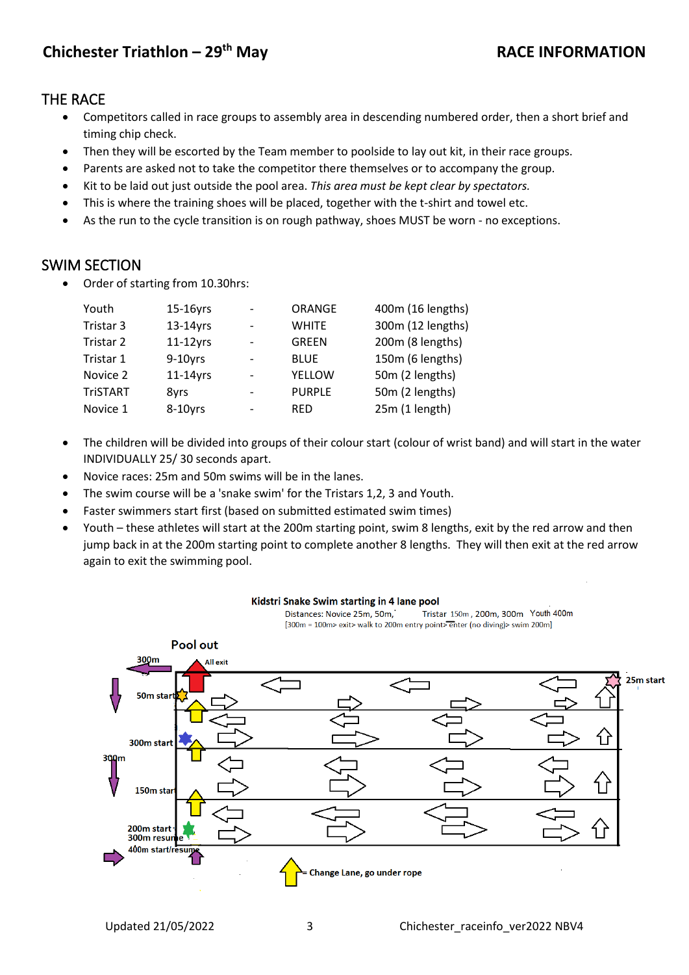# THE RACE

- Competitors called in race groups to assembly area in descending numbered order, then a short brief and timing chip check.
- Then they will be escorted by the Team member to poolside to lay out kit, in their race groups.
- Parents are asked not to take the competitor there themselves or to accompany the group.
- Kit to be laid out just outside the pool area. *This area must be kept clear by spectators.*
- This is where the training shoes will be placed, together with the t-shirt and towel etc.
- As the run to the cycle transition is on rough pathway, shoes MUST be worn no exceptions.

# SWIM SECTION

• Order of starting from 10.30hrs:

| Youth           | 15-16yrs    | $\overline{\phantom{a}}$ | ORANGE        | 400m (16 lengths) |
|-----------------|-------------|--------------------------|---------------|-------------------|
| Tristar 3       | $13-14$ yrs | $\overline{\phantom{a}}$ | <b>WHITE</b>  | 300m (12 lengths) |
| Tristar 2       | $11-12$ yrs | $\overline{\phantom{a}}$ | <b>GREEN</b>  | 200m (8 lengths)  |
| Tristar 1       | $9-10$ yrs  | $\overline{\phantom{a}}$ | <b>BLUE</b>   | 150m (6 lengths)  |
| Novice 2        | $11-14$ yrs | $\overline{\phantom{a}}$ | YELLOW        | 50m (2 lengths)   |
| <b>TriSTART</b> | 8yrs        | $\overline{\phantom{a}}$ | <b>PURPLE</b> | 50m (2 lengths)   |
| Novice 1        | 8-10yrs     | $\overline{\phantom{a}}$ | <b>RED</b>    | 25m (1 length)    |

- The children will be divided into groups of their colour start (colour of wrist band) and will start in the water INDIVIDUALLY 25/ 30 seconds apart.
- Novice races: 25m and 50m swims will be in the lanes.
- The swim course will be a 'snake swim' for the Tristars 1,2, 3 and Youth.
- Faster swimmers start first (based on submitted estimated swim times)
- Youth these athletes will start at the 200m starting point, swim 8 lengths, exit by the red arrow and then jump back in at the 200m starting point to complete another 8 lengths. They will then exit at the red arrow again to exit the swimming pool.

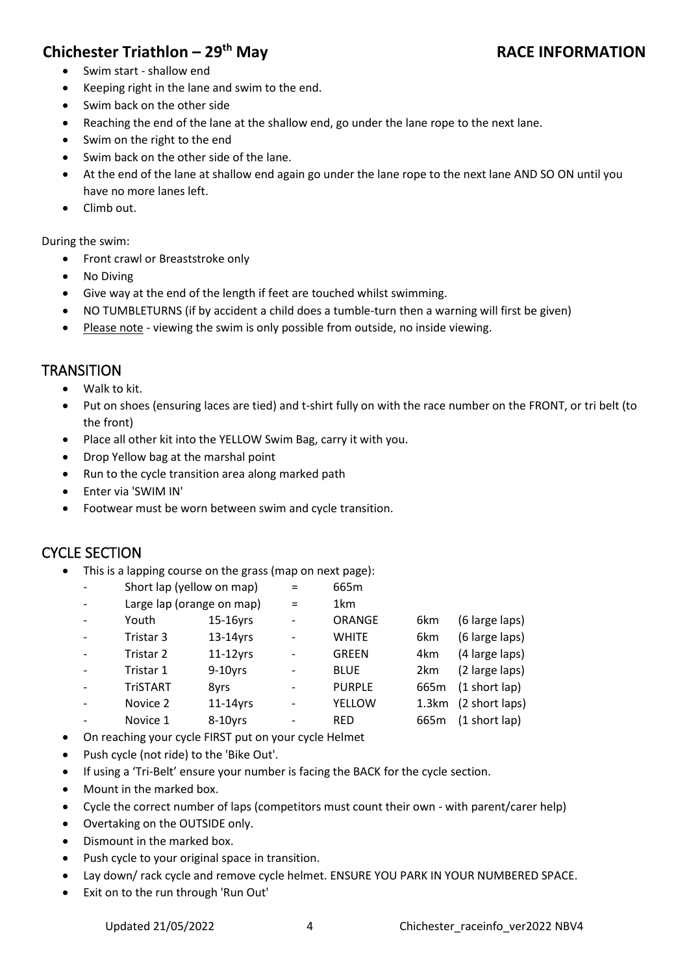# **Chichester Triathlon – 29th May RACE INFORMATION**

- Swim start shallow end
- Keeping right in the lane and swim to the end.
- Swim back on the other side
- Reaching the end of the lane at the shallow end, go under the lane rope to the next lane.
- Swim on the right to the end
- Swim back on the other side of the lane.
- At the end of the lane at shallow end again go under the lane rope to the next lane AND SO ON until you have no more lanes left.
- Climb out.
- During the swim:
	- Front crawl or Breaststroke only
	- No Diving
	- Give way at the end of the length if feet are touched whilst swimming.
	- NO TUMBLETURNS (if by accident a child does a tumble-turn then a warning will first be given)
	- Please note viewing the swim is only possible from outside, no inside viewing.

# **TRANSITION**

- Walk to kit.
- Put on shoes (ensuring laces are tied) and t-shirt fully on with the race number on the FRONT, or tri belt (to the front)
- Place all other kit into the YELLOW Swim Bag, carry it with you.
- Drop Yellow bag at the marshal point
- Run to the cycle transition area along marked path
- Enter via 'SWIM IN'
- Footwear must be worn between swim and cycle transition.

# CYCLE SECTION

• This is a lapping course on the grass (map on next page):

|                 | Short lap (yellow on map) | $=$                          | 665m          |                  |                      |
|-----------------|---------------------------|------------------------------|---------------|------------------|----------------------|
|                 | Large lap (orange on map) |                              | 1km           |                  |                      |
| Youth           | 15-16yrs                  | $\qquad \qquad \blacksquare$ | ORANGE        | 6km              | (6 large laps)       |
| Tristar 3       | $13-14$ yrs               | $\overline{\phantom{a}}$     | <b>WHITE</b>  | 6km              | (6 large laps)       |
| Tristar 2       | $11-12$ yrs               | $\overline{\phantom{a}}$     | <b>GREEN</b>  | 4km              | (4 large laps)       |
| Tristar 1       | $9-10$ yrs                |                              | <b>BLUE</b>   | 2 <sub>km</sub>  | (2 large laps)       |
| <b>TriSTART</b> | 8yrs                      |                              | <b>PURPLE</b> | 665 <sub>m</sub> | (1 short lap)        |
| Novice 2        | $11-14$ yrs               |                              | YELLOW        |                  | 1.3km (2 short laps) |
| Novice 1        | 8-10yrs                   | $\overline{\phantom{a}}$     | <b>RED</b>    | 665m             | (1 short lap)        |
|                 |                           |                              |               |                  |                      |

- On reaching your cycle FIRST put on your cycle Helmet
- Push cycle (not ride) to the 'Bike Out'.
- If using a 'Tri-Belt' ensure your number is facing the BACK for the cycle section.
- Mount in the marked box.
- Cycle the correct number of laps (competitors must count their own with parent/carer help)
- Overtaking on the OUTSIDE only.
- Dismount in the marked box.
- Push cycle to your original space in transition.
- Lay down/rack cycle and remove cycle helmet. ENSURE YOU PARK IN YOUR NUMBERED SPACE.
- Exit on to the run through 'Run Out'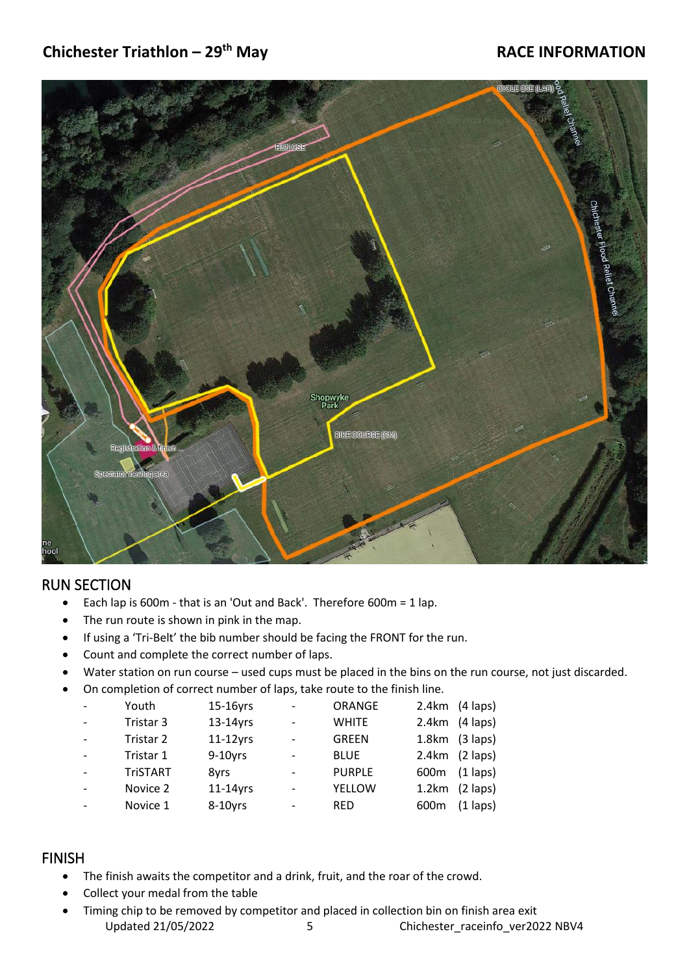# **Chichester Triathlon – 29th May RACE INFORMATION**



# RUN SECTION

- Each lap is 600m that is an 'Out and Back'. Therefore 600m = 1 lap.
- The run route is shown in pink in the map.
- If using a 'Tri-Belt' the bib number should be facing the FRONT for the run.
- Count and complete the correct number of laps.
- Water station on run course used cups must be placed in the bins on the run course, not just discarded.
- On completion of correct number of laps, take route to the finish line.

| Youth           | 15-16yrs    | $\overline{\phantom{0}}$ | ORANGE        | 2.4km<br>$(4$ laps)             |
|-----------------|-------------|--------------------------|---------------|---------------------------------|
| Tristar 3       | $13-14$ yrs | $\overline{\phantom{0}}$ | <b>WHITE</b>  | $(4$ laps)<br>2.4km             |
| Tristar 2       | $11-12$ yrs | $\overline{\phantom{0}}$ | <b>GREEN</b>  | $(3$ laps)<br>1.8 <sub>km</sub> |
| Tristar 1       | $9-10$ yrs  |                          | <b>BLUE</b>   | $(2$ laps)<br>2.4km             |
| <b>TriSTART</b> | 8yrs        |                          | <b>PURPLE</b> | $(1$ laps)<br>600 <sub>m</sub>  |
| Novice 2        | $11-14$ yrs | $\overline{\phantom{0}}$ | <b>YELLOW</b> | $(2$ laps)<br>1.2km             |
| Novice 1        | 8-10yrs     |                          | <b>RED</b>    | 600m<br>$(1$ laps)              |
|                 |             |                          |               |                                 |

#### FINISH

- The finish awaits the competitor and a drink, fruit, and the roar of the crowd.
- Collect your medal from the table
- Updated 21/05/2022 5 Chichester\_raceinfo\_ver2022 NBV4 • Timing chip to be removed by competitor and placed in collection bin on finish area exit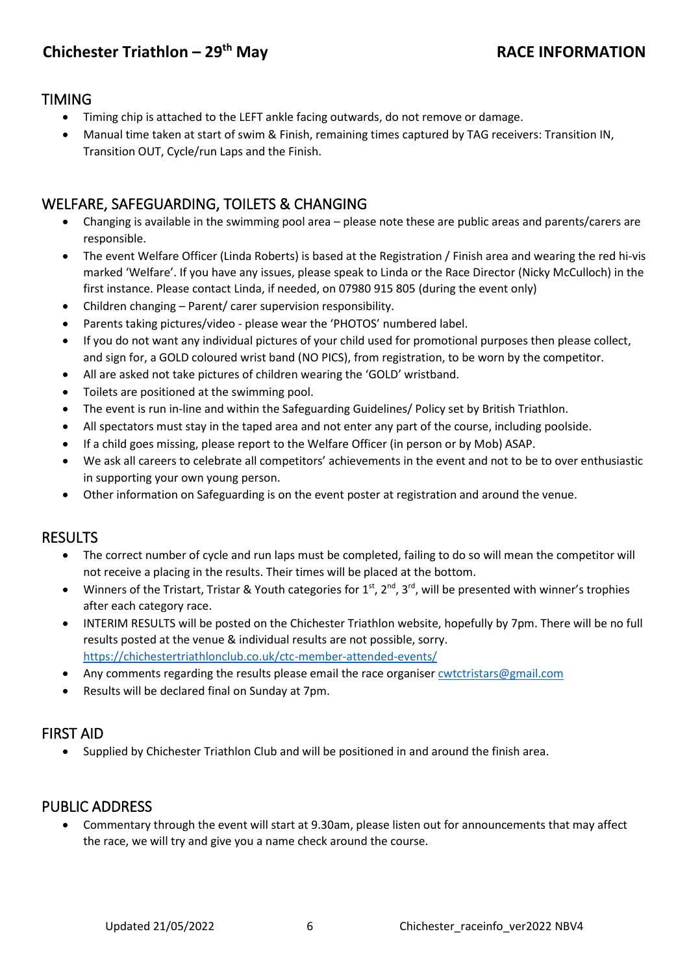# TIMING

- Timing chip is attached to the LEFT ankle facing outwards, do not remove or damage.
- Manual time taken at start of swim & Finish, remaining times captured by TAG receivers: Transition IN, Transition OUT, Cycle/run Laps and the Finish.

# WELFARE, SAFEGUARDING, TOILETS & CHANGING

- Changing is available in the swimming pool area please note these are public areas and parents/carers are responsible.
- The event Welfare Officer (Linda Roberts) is based at the Registration / Finish area and wearing the red hi-vis marked 'Welfare'. If you have any issues, please speak to Linda or the Race Director (Nicky McCulloch) in the first instance. Please contact Linda, if needed, on 07980 915 805 (during the event only)
- Children changing Parent/ carer supervision responsibility.
- Parents taking pictures/video please wear the 'PHOTOS' numbered label.
- If you do not want any individual pictures of your child used for promotional purposes then please collect, and sign for, a GOLD coloured wrist band (NO PICS), from registration, to be worn by the competitor.
- All are asked not take pictures of children wearing the 'GOLD' wristband.
- Toilets are positioned at the swimming pool.
- The event is run in-line and within the Safeguarding Guidelines/ Policy set by British Triathlon.
- All spectators must stay in the taped area and not enter any part of the course, including poolside.
- If a child goes missing, please report to the Welfare Officer (in person or by Mob) ASAP.
- We ask all careers to celebrate all competitors' achievements in the event and not to be to over enthusiastic in supporting your own young person.
- Other information on Safeguarding is on the event poster at registration and around the venue.

# RESULTS

- The correct number of cycle and run laps must be completed, failing to do so will mean the competitor will not receive a placing in the results. Their times will be placed at the bottom.
- Winners of the Tristart, Tristar & Youth categories for 1<sup>st</sup>, 2<sup>nd</sup>, 3<sup>rd</sup>, will be presented with winner's trophies after each category race.
- INTERIM RESULTS will be posted on the Chichester Triathlon website, hopefully by 7pm. There will be no full results posted at the venue & individual results are not possible, sorry. <https://chichestertriathlonclub.co.uk/ctc-member-attended-events/>
- Any comments regarding the results please email the race organise[r cwtctristars@gmail.com](mailto:cwtctristars@gmail.com)
- Results will be declared final on Sunday at 7pm.

# FIRST AID

• Supplied by Chichester Triathlon Club and will be positioned in and around the finish area.

# PUBLIC ADDRESS

• Commentary through the event will start at 9.30am, please listen out for announcements that may affect the race, we will try and give you a name check around the course.